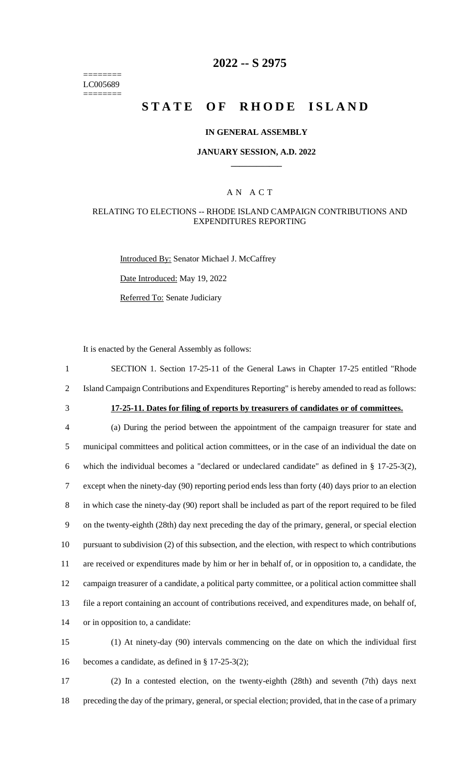======== LC005689 ========

# **2022 -- S 2975**

# **STATE OF RHODE ISLAND**

#### **IN GENERAL ASSEMBLY**

#### **JANUARY SESSION, A.D. 2022 \_\_\_\_\_\_\_\_\_\_\_\_**

### A N A C T

#### RELATING TO ELECTIONS -- RHODE ISLAND CAMPAIGN CONTRIBUTIONS AND EXPENDITURES REPORTING

Introduced By: Senator Michael J. McCaffrey

Date Introduced: May 19, 2022

Referred To: Senate Judiciary

It is enacted by the General Assembly as follows:

1 SECTION 1. Section 17-25-11 of the General Laws in Chapter 17-25 entitled "Rhode 2 Island Campaign Contributions and Expenditures Reporting" is hereby amended to read as follows:

# 3 **17-25-11. Dates for filing of reports by treasurers of candidates or of committees.**

 (a) During the period between the appointment of the campaign treasurer for state and municipal committees and political action committees, or in the case of an individual the date on which the individual becomes a "declared or undeclared candidate" as defined in § 17-25-3(2), except when the ninety-day (90) reporting period ends less than forty (40) days prior to an election in which case the ninety-day (90) report shall be included as part of the report required to be filed on the twenty-eighth (28th) day next preceding the day of the primary, general, or special election pursuant to subdivision (2) of this subsection, and the election, with respect to which contributions are received or expenditures made by him or her in behalf of, or in opposition to, a candidate, the campaign treasurer of a candidate, a political party committee, or a political action committee shall file a report containing an account of contributions received, and expenditures made, on behalf of, or in opposition to, a candidate:

15 (1) At ninety-day (90) intervals commencing on the date on which the individual first 16 becomes a candidate, as defined in § 17-25-3(2);

17 (2) In a contested election, on the twenty-eighth (28th) and seventh (7th) days next 18 preceding the day of the primary, general, or special election; provided, that in the case of a primary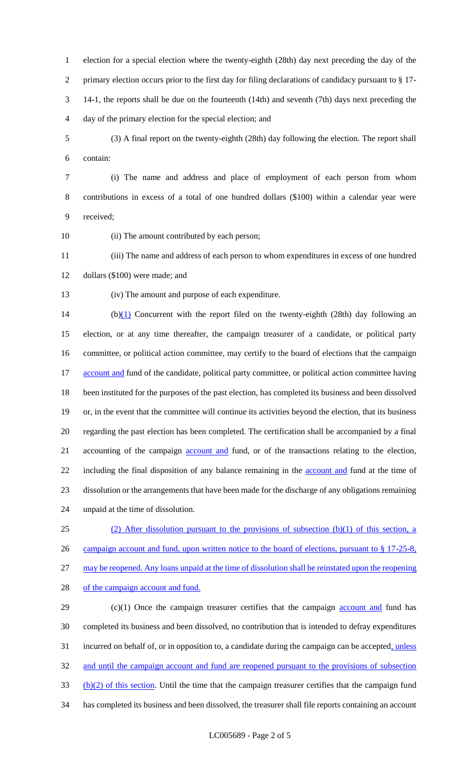election for a special election where the twenty-eighth (28th) day next preceding the day of the primary election occurs prior to the first day for filing declarations of candidacy pursuant to § 17- 14-1, the reports shall be due on the fourteenth (14th) and seventh (7th) days next preceding the day of the primary election for the special election; and

 (3) A final report on the twenty-eighth (28th) day following the election. The report shall contain:

 (i) The name and address and place of employment of each person from whom contributions in excess of a total of one hundred dollars (\$100) within a calendar year were received;

10 (ii) The amount contributed by each person;

 (iii) The name and address of each person to whom expenditures in excess of one hundred dollars (\$100) were made; and

(iv) The amount and purpose of each expenditure.

14 (b)(1) Concurrent with the report filed on the twenty-eighth (28th) day following an election, or at any time thereafter, the campaign treasurer of a candidate, or political party committee, or political action committee, may certify to the board of elections that the campaign 17 account and fund of the candidate, political party committee, or political action committee having been instituted for the purposes of the past election, has completed its business and been dissolved or, in the event that the committee will continue its activities beyond the election, that its business regarding the past election has been completed. The certification shall be accompanied by a final 21 accounting of the campaign <u>account and</u> fund, or of the transactions relating to the election, 22 including the final disposition of any balance remaining in the **account and** fund at the time of dissolution or the arrangements that have been made for the discharge of any obligations remaining unpaid at the time of dissolution.

 (2) After dissolution pursuant to the provisions of subsection (b)(1) of this section, a 26 campaign account and fund, upon written notice to the board of elections, pursuant to § 17-25-8, may be reopened. Any loans unpaid at the time of dissolution shall be reinstated upon the reopening 28 of the campaign account and fund.

 (c)(1) Once the campaign treasurer certifies that the campaign **account and** fund has completed its business and been dissolved, no contribution that is intended to defray expenditures 31 incurred on behalf of, or in opposition to, a candidate during the campaign can be accepted, unless 32 and until the campaign account and fund are reopened pursuant to the provisions of subsection (b)(2) of this section. Until the time that the campaign treasurer certifies that the campaign fund has completed its business and been dissolved, the treasurer shall file reports containing an account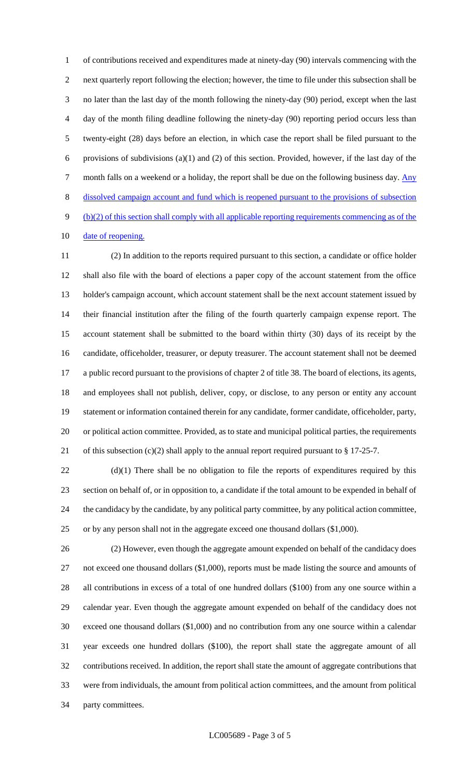of contributions received and expenditures made at ninety-day (90) intervals commencing with the next quarterly report following the election; however, the time to file under this subsection shall be no later than the last day of the month following the ninety-day (90) period, except when the last day of the month filing deadline following the ninety-day (90) reporting period occurs less than twenty-eight (28) days before an election, in which case the report shall be filed pursuant to the 6 provisions of subdivisions (a)(1) and (2) of this section. Provided, however, if the last day of the 7 month falls on a weekend or a holiday, the report shall be due on the following business day. Any dissolved campaign account and fund which is reopened pursuant to the provisions of subsection (b)(2) of this section shall comply with all applicable reporting requirements commencing as of the 10 date of reopening.

 (2) In addition to the reports required pursuant to this section, a candidate or office holder shall also file with the board of elections a paper copy of the account statement from the office holder's campaign account, which account statement shall be the next account statement issued by their financial institution after the filing of the fourth quarterly campaign expense report. The account statement shall be submitted to the board within thirty (30) days of its receipt by the candidate, officeholder, treasurer, or deputy treasurer. The account statement shall not be deemed a public record pursuant to the provisions of chapter 2 of title 38. The board of elections, its agents, and employees shall not publish, deliver, copy, or disclose, to any person or entity any account statement or information contained therein for any candidate, former candidate, officeholder, party, or political action committee. Provided, as to state and municipal political parties, the requirements 21 of this subsection  $(c)(2)$  shall apply to the annual report required pursuant to § 17-25-7.

22 (d)(1) There shall be no obligation to file the reports of expenditures required by this section on behalf of, or in opposition to, a candidate if the total amount to be expended in behalf of the candidacy by the candidate, by any political party committee, by any political action committee, or by any person shall not in the aggregate exceed one thousand dollars (\$1,000).

 (2) However, even though the aggregate amount expended on behalf of the candidacy does 27 not exceed one thousand dollars (\$1,000), reports must be made listing the source and amounts of all contributions in excess of a total of one hundred dollars (\$100) from any one source within a calendar year. Even though the aggregate amount expended on behalf of the candidacy does not exceed one thousand dollars (\$1,000) and no contribution from any one source within a calendar year exceeds one hundred dollars (\$100), the report shall state the aggregate amount of all contributions received. In addition, the report shall state the amount of aggregate contributions that were from individuals, the amount from political action committees, and the amount from political party committees.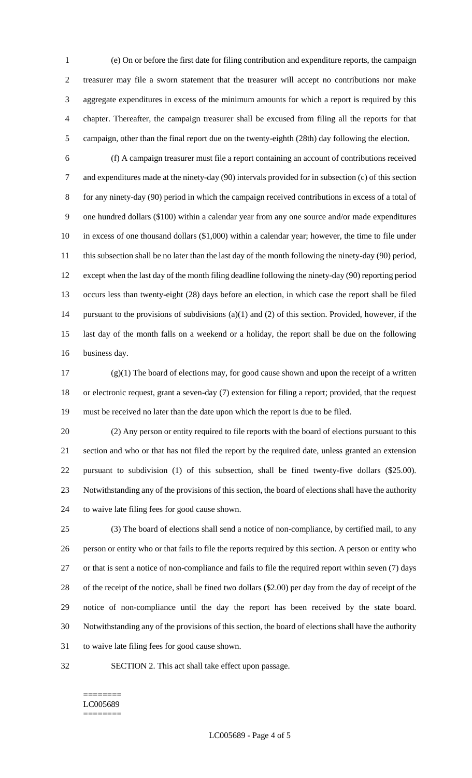(e) On or before the first date for filing contribution and expenditure reports, the campaign treasurer may file a sworn statement that the treasurer will accept no contributions nor make aggregate expenditures in excess of the minimum amounts for which a report is required by this chapter. Thereafter, the campaign treasurer shall be excused from filing all the reports for that campaign, other than the final report due on the twenty-eighth (28th) day following the election.

 (f) A campaign treasurer must file a report containing an account of contributions received and expenditures made at the ninety-day (90) intervals provided for in subsection (c) of this section for any ninety-day (90) period in which the campaign received contributions in excess of a total of one hundred dollars (\$100) within a calendar year from any one source and/or made expenditures in excess of one thousand dollars (\$1,000) within a calendar year; however, the time to file under 11 this subsection shall be no later than the last day of the month following the ninety-day (90) period, except when the last day of the month filing deadline following the ninety-day (90) reporting period occurs less than twenty-eight (28) days before an election, in which case the report shall be filed pursuant to the provisions of subdivisions (a)(1) and (2) of this section. Provided, however, if the last day of the month falls on a weekend or a holiday, the report shall be due on the following business day.

 $(g)(1)$  The board of elections may, for good cause shown and upon the receipt of a written or electronic request, grant a seven-day (7) extension for filing a report; provided, that the request must be received no later than the date upon which the report is due to be filed.

 (2) Any person or entity required to file reports with the board of elections pursuant to this section and who or that has not filed the report by the required date, unless granted an extension pursuant to subdivision (1) of this subsection, shall be fined twenty-five dollars (\$25.00). Notwithstanding any of the provisions of this section, the board of elections shall have the authority to waive late filing fees for good cause shown.

 (3) The board of elections shall send a notice of non-compliance, by certified mail, to any person or entity who or that fails to file the reports required by this section. A person or entity who or that is sent a notice of non-compliance and fails to file the required report within seven (7) days of the receipt of the notice, shall be fined two dollars (\$2.00) per day from the day of receipt of the notice of non-compliance until the day the report has been received by the state board. Notwithstanding any of the provisions of this section, the board of elections shall have the authority to waive late filing fees for good cause shown.

SECTION 2. This act shall take effect upon passage.

#### ======== LC005689 ========